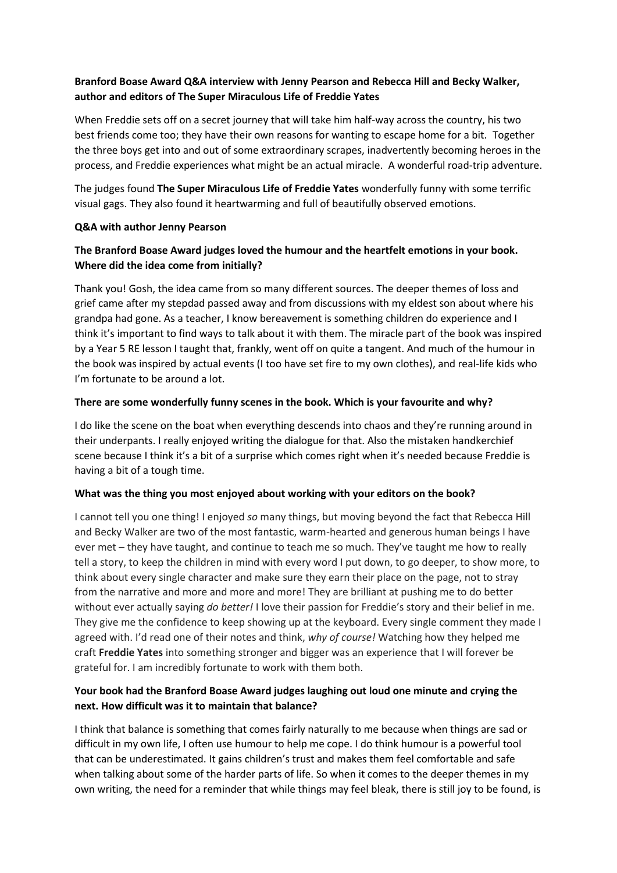# **Branford Boase Award Q&A interview with Jenny Pearson and Rebecca Hill and Becky Walker, author and editors of The Super Miraculous Life of Freddie Yates**

When Freddie sets off on a secret journey that will take him half-way across the country, his two best friends come too; they have their own reasons for wanting to escape home for a bit. Together the three boys get into and out of some extraordinary scrapes, inadvertently becoming heroes in the process, and Freddie experiences what might be an actual miracle. A wonderful road-trip adventure.

The judges found **The Super Miraculous Life of Freddie Yates** wonderfully funny with some terrific visual gags. They also found it heartwarming and full of beautifully observed emotions.

### **Q&A with author Jenny Pearson**

# **The Branford Boase Award judges loved the humour and the heartfelt emotions in your book. Where did the idea come from initially?**

Thank you! Gosh, the idea came from so many different sources. The deeper themes of loss and grief came after my stepdad passed away and from discussions with my eldest son about where his grandpa had gone. As a teacher, I know bereavement is something children do experience and I think it's important to find ways to talk about it with them. The miracle part of the book was inspired by a Year 5 RE lesson I taught that, frankly, went off on quite a tangent. And much of the humour in the book was inspired by actual events (I too have set fire to my own clothes), and real-life kids who I'm fortunate to be around a lot.

## **There are some wonderfully funny scenes in the book. Which is your favourite and why?**

I do like the scene on the boat when everything descends into chaos and they're running around in their underpants. I really enjoyed writing the dialogue for that. Also the mistaken handkerchief scene because I think it's a bit of a surprise which comes right when it's needed because Freddie is having a bit of a tough time.

## **What was the thing you most enjoyed about working with your editors on the book?**

I cannot tell you one thing! I enjoyed *so* many things, but moving beyond the fact that Rebecca Hill and Becky Walker are two of the most fantastic, warm-hearted and generous human beings I have ever met – they have taught, and continue to teach me so much. They've taught me how to really tell a story, to keep the children in mind with every word I put down, to go deeper, to show more, to think about every single character and make sure they earn their place on the page, not to stray from the narrative and more and more and more! They are brilliant at pushing me to do better without ever actually saying *do better!* I love their passion for Freddie's story and their belief in me. They give me the confidence to keep showing up at the keyboard. Every single comment they made I agreed with. I'd read one of their notes and think, *why of course!* Watching how they helped me craft **Freddie Yates** into something stronger and bigger was an experience that I will forever be grateful for. I am incredibly fortunate to work with them both.

# **Your book had the Branford Boase Award judges laughing out loud one minute and crying the next. How difficult was it to maintain that balance?**

I think that balance is something that comes fairly naturally to me because when things are sad or difficult in my own life, I often use humour to help me cope. I do think humour is a powerful tool that can be underestimated. It gains children's trust and makes them feel comfortable and safe when talking about some of the harder parts of life. So when it comes to the deeper themes in my own writing, the need for a reminder that while things may feel bleak, there is still joy to be found, is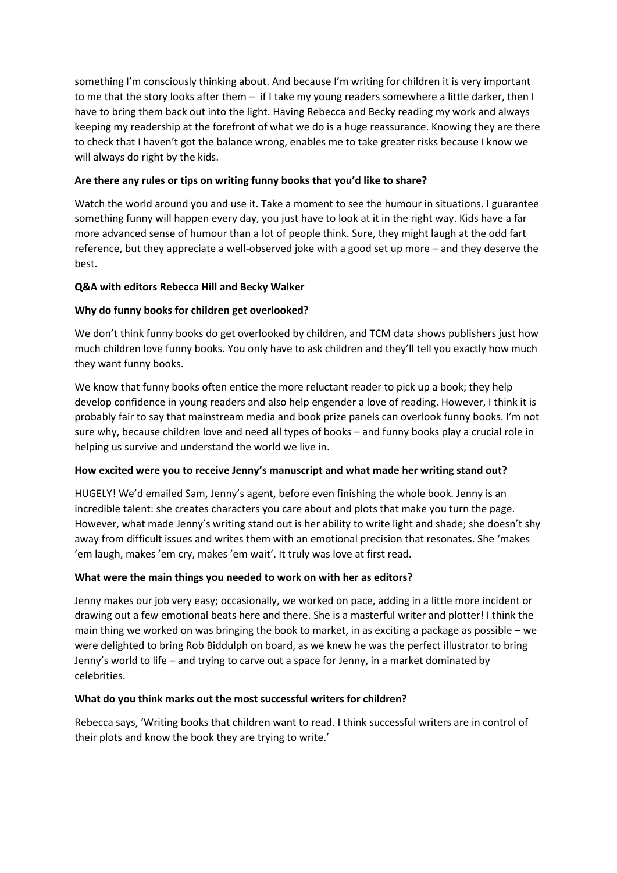something I'm consciously thinking about. And because I'm writing for children it is very important to me that the story looks after them – if I take my young readers somewhere a little darker, then I have to bring them back out into the light. Having Rebecca and Becky reading my work and always keeping my readership at the forefront of what we do is a huge reassurance. Knowing they are there to check that I haven't got the balance wrong, enables me to take greater risks because I know we will always do right by the kids.

## **Are there any rules or tips on writing funny books that you'd like to share?**

Watch the world around you and use it. Take a moment to see the humour in situations. I guarantee something funny will happen every day, you just have to look at it in the right way. Kids have a far more advanced sense of humour than a lot of people think. Sure, they might laugh at the odd fart reference, but they appreciate a well-observed joke with a good set up more – and they deserve the best.

### **Q&A with editors Rebecca Hill and Becky Walker**

### **Why do funny books for children get overlooked?**

We don't think funny books do get overlooked by children, and TCM data shows publishers just how much children love funny books. You only have to ask children and they'll tell you exactly how much they want funny books.

We know that funny books often entice the more reluctant reader to pick up a book; they help develop confidence in young readers and also help engender a love of reading. However, I think it is probably fair to say that mainstream media and book prize panels can overlook funny books. I'm not sure why, because children love and need all types of books – and funny books play a crucial role in helping us survive and understand the world we live in.

#### **How excited were you to receive Jenny's manuscript and what made her writing stand out?**

HUGELY! We'd emailed Sam, Jenny's agent, before even finishing the whole book. Jenny is an incredible talent: she creates characters you care about and plots that make you turn the page. However, what made Jenny's writing stand out is her ability to write light and shade; she doesn't shy away from difficult issues and writes them with an emotional precision that resonates. She 'makes 'em laugh, makes 'em cry, makes 'em wait'. It truly was love at first read.

#### **What were the main things you needed to work on with her as editors?**

Jenny makes our job very easy; occasionally, we worked on pace, adding in a little more incident or drawing out a few emotional beats here and there. She is a masterful writer and plotter! I think the main thing we worked on was bringing the book to market, in as exciting a package as possible – we were delighted to bring Rob Biddulph on board, as we knew he was the perfect illustrator to bring Jenny's world to life – and trying to carve out a space for Jenny, in a market dominated by celebrities.

#### **What do you think marks out the most successful writers for children?**

Rebecca says, 'Writing books that children want to read. I think successful writers are in control of their plots and know the book they are trying to write.'